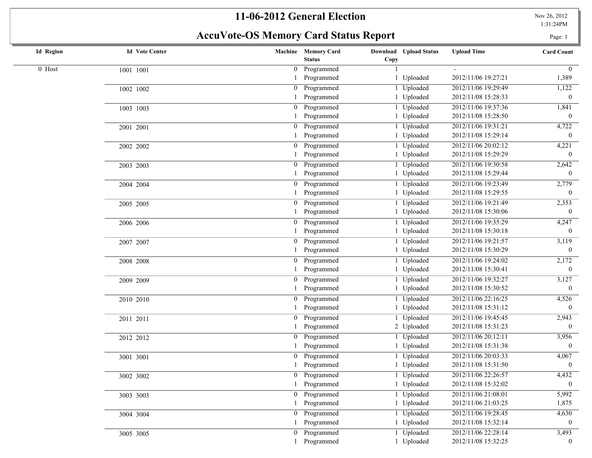# **AccuVote-OS Memory Card Status Report** Page: 1

| <b>Id Region</b> | <b>Id</b> Vote Center |                | Machine Memory Card<br><b>Status</b> | Download Upload Status<br>Copy | <b>Upload Time</b>  | <b>Card Count</b> |
|------------------|-----------------------|----------------|--------------------------------------|--------------------------------|---------------------|-------------------|
| $0$ Host         | 1001 1001             | $\overline{0}$ | Programmed                           |                                |                     | $\Omega$          |
|                  |                       |                | Programmed                           | Uploaded                       | 2012/11/06 19:27:21 | 1,389             |
|                  | 1002 1002             | $\overline{0}$ | Programmed                           | Uploaded                       | 2012/11/06 19:29:49 | 1,122             |
|                  |                       |                | Programmed                           | 1 Uploaded                     | 2012/11/08 15:28:33 | $\overline{0}$    |
|                  | 1003 1003             | $\overline{0}$ | Programmed                           | 1 Uploaded                     | 2012/11/06 19:37:36 | 1,841             |
|                  |                       |                | Programmed                           | 1 Uploaded                     | 2012/11/08 15:28:50 | $\boldsymbol{0}$  |
|                  | 2001 2001             | $\mathbf{0}$   | Programmed                           | 1 Uploaded                     | 2012/11/06 19:31:21 | 4,722             |
|                  |                       |                | Programmed                           | 1 Uploaded                     | 2012/11/08 15:29:14 | $\mathbf{0}$      |
|                  | 2002 2002             | $\overline{0}$ | Programmed                           | Uploaded                       | 2012/11/06 20:02:12 | 4,221             |
|                  |                       |                | Programmed                           | 1 Uploaded                     | 2012/11/08 15:29:29 | $\Omega$          |
|                  | 2003 2003             | $\overline{0}$ | Programmed                           | Uploaded                       | 2012/11/06 19:30:58 | 2,642             |
|                  |                       |                | Programmed                           | 1 Uploaded                     | 2012/11/08 15:29:44 | $\overline{0}$    |
|                  | 2004 2004             | $\overline{0}$ | Programmed                           | Uploaded                       | 2012/11/06 19:23:49 | 2,779             |
|                  |                       |                | Programmed                           | 1 Uploaded                     | 2012/11/08 15:29:55 | $\mathbf{0}$      |
|                  | 2005 2005             | $\overline{0}$ | Programmed                           | Uploaded                       | 2012/11/06 19:21:49 | 2,353             |
|                  |                       |                | Programmed                           | 1 Uploaded                     | 2012/11/08 15:30:06 | $\theta$          |
|                  | 2006 2006             | $\overline{0}$ | Programmed                           | Uploaded                       | 2012/11/06 19:35:29 | 4,247             |
|                  |                       |                | Programmed                           | 1 Uploaded                     | 2012/11/08 15:30:18 | $\mathbf{0}$      |
|                  | 2007 2007             | $\overline{0}$ | Programmed                           | 1 Uploaded                     | 2012/11/06 19:21:57 | $\frac{1}{3,119}$ |
|                  |                       |                | Programmed                           | 1 Uploaded                     | 2012/11/08 15:30:29 | $\overline{0}$    |
|                  | 2008 2008             | $\overline{0}$ | Programmed                           | Uploaded                       | 2012/11/06 19:24:02 | 2,172             |
|                  |                       |                | Programmed                           | 1 Uploaded                     | 2012/11/08 15:30:41 | $\mathbf{0}$      |
|                  | 2009 2009             | $\overline{0}$ | Programmed                           | Uploaded                       | 2012/11/06 19:32:27 | 3,127             |
|                  |                       |                | Programmed                           | 1 Uploaded                     | 2012/11/08 15:30:52 | $\theta$          |
|                  | 2010 2010             | $\overline{0}$ | Programmed                           | Uploaded                       | 2012/11/06 22:16:25 | 4,526             |
|                  |                       |                | Programmed                           | Uploaded                       | 2012/11/08 15:31:12 | $\Omega$          |
|                  | 2011 2011             | $\overline{0}$ | Programmed                           | Uploaded                       | 2012/11/06 19:45:45 | 2,943             |
|                  |                       |                | Programmed                           | 2 Uploaded                     | 2012/11/08 15:31:23 | $\overline{0}$    |
|                  | 2012 2012             | $\overline{0}$ | Programmed                           | Uploaded                       | 2012/11/06 20:12:11 | 3,956             |
|                  |                       |                | Programmed                           | 1 Uploaded                     | 2012/11/08 15:31:38 | $\overline{0}$    |
|                  | 3001 3001             | $\overline{0}$ | Programmed                           | 1 Uploaded                     | 2012/11/06 20:03:33 | 4,067             |
|                  |                       |                | Programmed                           | 1 Uploaded                     | 2012/11/08 15:31:50 | $\mathbf{0}$      |
|                  | 3002 3002             |                | 0 Programmed                         | 1 Uploaded                     | 2012/11/06 22:26:57 | 4,432             |
|                  |                       |                | 1 Programmed                         | 1 Uploaded                     | 2012/11/08 15:32:02 | $\mathbf{0}$      |
|                  | 3003 3003             |                | 0 Programmed                         | Uploaded                       | 2012/11/06 21:08:01 | 5,992             |
|                  |                       |                | Programmed                           | 1 Uploaded                     | 2012/11/06 21:03:25 | 1,875             |
|                  | 3004 3004             |                | 0 Programmed                         | 1 Uploaded                     | 2012/11/06 19:28:45 | 4,630             |
|                  |                       |                | Programmed                           | 1 Uploaded                     | 2012/11/08 15:32:14 | $\overline{0}$    |
|                  | 3005 3005             | $\overline{0}$ | Programmed                           | 1 Uploaded                     | 2012/11/06 22:28:14 | 3,493             |
|                  |                       |                | Programmed                           | 1 Uploaded                     | 2012/11/08 15:32:25 | $\bf{0}$          |
|                  |                       |                |                                      |                                |                     |                   |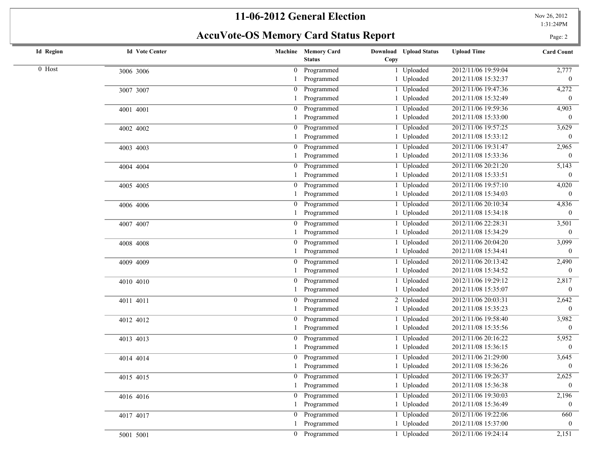**AccuVote-OS Memory Card Status Report** Page: 2

| <b>Id Region</b> | <b>Id Vote Center</b> |                | Machine Memory Card<br><b>Status</b> | <b>Download</b> Upload Status<br>Copy | <b>Upload Time</b>  | <b>Card Count</b> |
|------------------|-----------------------|----------------|--------------------------------------|---------------------------------------|---------------------|-------------------|
| 0 Host           | 3006 3006             | 0              | Programmed                           | Uploaded                              | 2012/11/06 19:59:04 | 2,777             |
|                  |                       |                | Programmed                           | 1 Uploaded                            | 2012/11/08 15:32:37 | $\overline{0}$    |
|                  | 3007 3007             | 0              | Programmed                           | Uploaded                              | 2012/11/06 19:47:36 | 4,272             |
|                  |                       |                | Programmed                           | 1 Uploaded                            | 2012/11/08 15:32:49 | $\mathbf{0}$      |
|                  | 4001 4001             | $\overline{0}$ | Programmed                           | Uploaded                              | 2012/11/06 19:59:36 | 4,903             |
|                  |                       |                | Programmed                           | 1 Uploaded                            | 2012/11/08 15:33:00 | $\theta$          |
|                  | 4002 4002             | 0              | Programmed                           | Uploaded                              | 2012/11/06 19:57:25 | 3,629             |
|                  |                       |                | Programmed                           | 1 Uploaded                            | 2012/11/08 15:33:12 | $\theta$          |
|                  | 4003 4003             | 0              | Programmed                           | Uploaded                              | 2012/11/06 19:31:47 | 2,965             |
|                  |                       |                | Programmed                           | 1 Uploaded                            | 2012/11/08 15:33:36 | $\overline{0}$    |
|                  | 4004 4004             | $\overline{0}$ | Programmed                           | Uploaded                              | 2012/11/06 20:21:20 | 5,143             |
|                  |                       |                | Programmed                           | 1 Uploaded                            | 2012/11/08 15:33:51 | $\theta$          |
|                  | 4005 4005             | $\overline{0}$ | Programmed                           | Uploaded                              | 2012/11/06 19:57:10 | 4,020             |
|                  |                       |                | Programmed                           | Uploaded                              | 2012/11/08 15:34:03 | $\theta$          |
|                  | 4006 4006             | $\mathbf{0}$   | Programmed                           | Uploaded                              | 2012/11/06 20:10:34 | 4,836             |
|                  |                       |                | Programmed                           | Uploaded                              | 2012/11/08 15:34:18 | $\overline{0}$    |
|                  | 4007 4007             | 0              | Programmed                           | Uploaded                              | 2012/11/06 22:28:31 | 3,501             |
|                  |                       |                | Programmed                           | 1 Uploaded                            | 2012/11/08 15:34:29 | $\mathbf{0}$      |
|                  | 4008 4008             | 0              | Programmed                           | Uploaded                              | 2012/11/06 20:04:20 | 3,099             |
|                  |                       |                | Programmed                           | 1 Uploaded                            | 2012/11/08 15:34:41 | $\theta$          |
|                  | 4009 4009             | 0              | Programmed                           | Uploaded                              | 2012/11/06 20:13:42 | 2,490             |
|                  |                       |                | Programmed                           | Uploaded                              | 2012/11/08 15:34:52 | $\Omega$          |
|                  | 4010 4010             | 0              | Programmed                           | Uploaded                              | 2012/11/06 19:29:12 | 2,817             |
|                  |                       |                | Programmed                           | Uploaded                              | 2012/11/08 15:35:07 | $\mathbf{0}$      |
|                  | 4011 4011             |                | Programmed                           | 2 Uploaded                            | 2012/11/06 20:03:31 | 2,642             |
|                  |                       |                | Programmed                           | 1 Uploaded                            | 2012/11/08 15:35:23 | $\theta$          |
|                  | 4012 4012             | $\overline{0}$ | Programmed                           | Uploaded                              | 2012/11/06 19:58:40 | 3,982             |
|                  |                       |                | Programmed                           | 1 Uploaded                            | 2012/11/08 15:35:56 | $\overline{0}$    |
|                  | 4013 4013             | 0              | Programmed                           | Uploaded                              | 2012/11/06 20:16:22 | 5,952             |
|                  |                       |                | Programmed                           | 1 Uploaded                            | 2012/11/08 15:36:15 | $\bf{0}$          |
|                  | 4014 4014             |                | Programmed                           | 1 Uploaded                            | 2012/11/06 21:29:00 | 3,645             |
|                  |                       |                | Programmed                           | 1 Uploaded                            | 2012/11/08 15:36:26 | $\boldsymbol{0}$  |
|                  | 4015 4015             |                | 0 Programmed                         | Uploaded                              | 2012/11/06 19:26:37 | 2,625             |
|                  |                       |                | 1 Programmed                         | 1 Uploaded                            | 2012/11/08 15:36:38 | $\mathbf{0}$      |
|                  | 4016 4016             |                | 0 Programmed                         | 1 Uploaded                            | 2012/11/06 19:30:03 | 2,196             |
|                  |                       |                | Programmed                           | 1 Uploaded                            | 2012/11/08 15:36:49 | $\mathbf{0}$      |
|                  | 4017 4017             |                | 0 Programmed                         | 1 Uploaded                            | 2012/11/06 19:22:06 | 660               |
|                  |                       |                | Programmed                           | 1 Uploaded                            | 2012/11/08 15:37:00 | $\bf{0}$          |
|                  | 5001 5001             |                | 0 Programmed                         | 1 Uploaded                            | 2012/11/06 19:24:14 | 2,151             |
|                  |                       |                |                                      |                                       |                     |                   |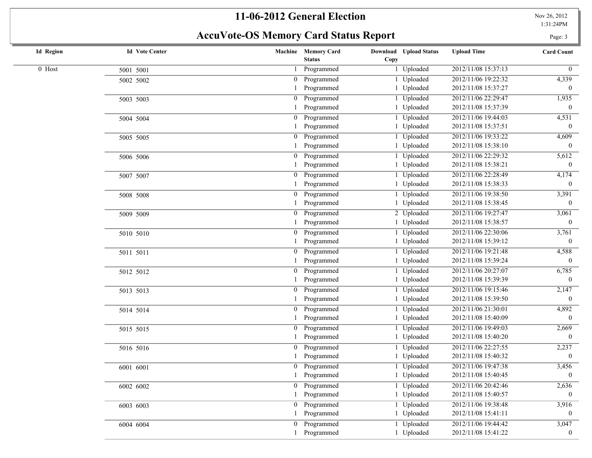## AccuVote-OS Memory Card Status Report **Page: 3**

| <b>Id Region</b> | <b>Id Vote Center</b> |                | Machine Memory Card<br><b>Status</b> | <b>Download</b> Upload Status<br>Copy | <b>Upload Time</b>  | <b>Card Count</b> |
|------------------|-----------------------|----------------|--------------------------------------|---------------------------------------|---------------------|-------------------|
| $0$ Host         | 5001 5001             |                | Programmed                           | 1 Uploaded                            | 2012/11/08 15:37:13 | $\overline{0}$    |
|                  | 5002 5002             |                | Programmed                           | Uploaded                              | 2012/11/06 19:22:32 | 4,339             |
|                  |                       |                | Programmed                           | 1 Uploaded                            | 2012/11/08 15:37:27 | $\mathbf{0}$      |
|                  | 5003 5003             | $\overline{0}$ | Programmed                           | 1 Uploaded                            | 2012/11/06 22:29:47 | 1,935             |
|                  |                       |                | Programmed                           | 1 Uploaded                            | 2012/11/08 15:37:39 | $\overline{0}$    |
|                  | 5004 5004             | $\overline{0}$ | Programmed                           | 1 Uploaded                            | 2012/11/06 19:44:03 | 4,531             |
|                  |                       |                | Programmed                           | 1 Uploaded                            | 2012/11/08 15:37:51 | $\Omega$          |
|                  | 5005 5005             | $\overline{0}$ | Programmed                           | 1 Uploaded                            | 2012/11/06 19:33:22 | 4,609             |
|                  |                       |                | Programmed                           | 1 Uploaded                            | 2012/11/08 15:38:10 | $\overline{0}$    |
|                  | 5006 5006             | $\overline{0}$ | Programmed                           | 1 Uploaded                            | 2012/11/06 22:29:32 | 5,612             |
|                  |                       |                | Programmed                           | 1 Uploaded                            | 2012/11/08 15:38:21 | $\overline{0}$    |
|                  | 5007 5007             | $\overline{0}$ | Programmed                           | 1 Uploaded                            | 2012/11/06 22:28:49 | 4,174             |
|                  |                       |                | Programmed                           | 1 Uploaded                            | 2012/11/08 15:38:33 | $\mathbf{0}$      |
|                  | 5008 5008             | $\overline{0}$ | Programmed                           | Uploaded                              | 2012/11/06 19:38:50 | 3,391             |
|                  |                       |                | Programmed                           | 1 Uploaded                            | 2012/11/08 15:38:45 | $\mathbf{0}$      |
|                  | 5009 5009             |                | Programmed                           | 2 Uploaded                            | 2012/11/06 19:27:47 | 3,061             |
|                  |                       |                | Programmed                           | 1 Uploaded                            | 2012/11/08 15:38:57 | $\boldsymbol{0}$  |
|                  | 5010 5010             | $\overline{0}$ | Programmed                           | 1 Uploaded                            | 2012/11/06 22:30:06 | 3,761             |
|                  |                       |                | Programmed                           | 1 Uploaded                            | 2012/11/08 15:39:12 | $\mathbf{0}$      |
|                  | 5011 5011             | $\overline{0}$ | Programmed                           | 1 Uploaded                            | 2012/11/06 19:21:48 | 4,588             |
|                  |                       |                | Programmed                           | 1 Uploaded                            | 2012/11/08 15:39:24 | $\Omega$          |
|                  | 5012 5012             | $\overline{0}$ | Programmed                           | 1 Uploaded                            | 2012/11/06 20:27:07 | 6,785             |
|                  |                       |                | Programmed                           | 1 Uploaded                            | 2012/11/08 15:39:39 | $\overline{0}$    |
|                  | 5013 5013             | $\overline{0}$ | Programmed                           | 1 Uploaded                            | 2012/11/06 19:15:46 | 2,147             |
|                  |                       |                | Programmed                           | 1 Uploaded                            | 2012/11/08 15:39:50 | $\overline{0}$    |
|                  | 5014 5014             | $\overline{0}$ | Programmed                           | 1 Uploaded                            | 2012/11/06 21:30:01 | 4,892             |
|                  |                       |                | Programmed                           | 1 Uploaded                            | 2012/11/08 15:40:09 | $\theta$          |
|                  | 5015 5015             | $\overline{0}$ | Programmed                           | Uploaded                              | 2012/11/06 19:49:03 | 2,669             |
|                  |                       |                | Programmed                           | 1 Uploaded                            | 2012/11/08 15:40:20 | $\mathbf{0}$      |
|                  | 5016 5016             | $\overline{0}$ | Programmed                           | 1 Uploaded                            | 2012/11/06 22:27:55 | 2,237             |
|                  |                       |                | Programmed                           | 1 Uploaded                            | 2012/11/08 15:40:32 | $\bf{0}$          |
|                  | 6001 6001             |                | Programmed                           | Uploaded                              | 2012/11/06 19:47:38 | 3,456             |
|                  |                       |                | Programmed                           | 1 Uploaded                            | 2012/11/08 15:40:45 | $\boldsymbol{0}$  |
|                  | 6002 6002             |                | 0 Programmed                         | 1 Uploaded                            | 2012/11/06 20:42:46 | 2,636             |
|                  |                       |                | Programmed                           | 1 Uploaded                            | 2012/11/08 15:40:57 |                   |
|                  | 6003 6003             | $\overline{0}$ | Programmed                           | 1 Uploaded                            | 2012/11/06 19:38:48 | 3,916             |
|                  |                       |                | Programmed                           | 1 Uploaded                            | 2012/11/08 15:41:11 | $\theta$          |
|                  | 6004 6004             | $\overline{0}$ | Programmed                           | 1 Uploaded                            | 2012/11/06 19:44:42 | 3,047             |
|                  |                       |                | Programmed                           | 1 Uploaded                            | 2012/11/08 15:41:22 | $\overline{0}$    |
|                  |                       |                |                                      |                                       |                     |                   |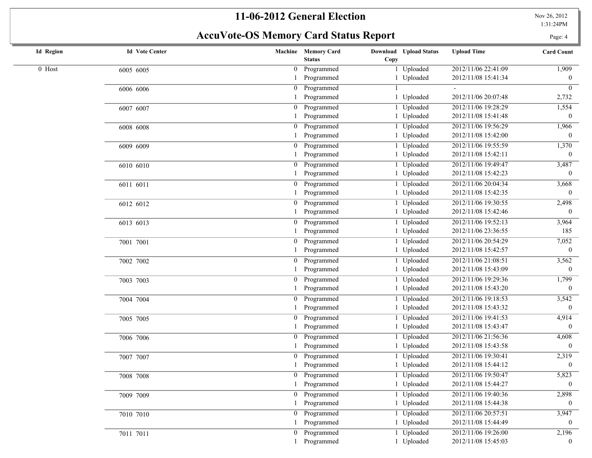# **AccuVote-OS Memory Card Status Report** Page: 4

| <b>Id Region</b> | <b>Id Vote Center</b> |                  | Machine Memory Card<br><b>Status</b> | Download Upload Status<br>Copy | <b>Upload Time</b>  | <b>Card Count</b> |
|------------------|-----------------------|------------------|--------------------------------------|--------------------------------|---------------------|-------------------|
| 0 Host           | 6005 6005             | $\overline{0}$   | Programmed                           | 1 Uploaded                     | 2012/11/06 22:41:09 | 1,909             |
|                  |                       |                  | Programmed                           | 1 Uploaded                     | 2012/11/08 15:41:34 | $\bf{0}$          |
|                  | 6006 6006             | $\boldsymbol{0}$ | Programmed                           |                                |                     | $\mathbf{0}$      |
|                  |                       |                  | Programmed                           | 1 Uploaded                     | 2012/11/06 20:07:48 | 2,732             |
|                  | 6007 6007             | $\mathbf{0}$     | Programmed                           | 1 Uploaded                     | 2012/11/06 19:28:29 | 1,554             |
|                  |                       |                  | Programmed                           | 1 Uploaded                     | 2012/11/08 15:41:48 | $\theta$          |
|                  | 6008 6008             | $\overline{0}$   | Programmed                           | 1 Uploaded                     | 2012/11/06 19:56:29 | 1,966             |
|                  |                       |                  | Programmed                           | 1 Uploaded                     | 2012/11/08 15:42:00 | $\Omega$          |
|                  | 6009 6009             | $\mathbf{0}$     | Programmed                           | 1 Uploaded                     | 2012/11/06 19:55:59 | 1,370             |
|                  |                       |                  | Programmed                           | 1 Uploaded                     | 2012/11/08 15:42:11 | $\theta$          |
|                  | 6010 6010             | $\overline{0}$   | Programmed                           | 1 Uploaded                     | 2012/11/06 19:49:47 | 3,487             |
|                  |                       |                  | Programmed                           | 1 Uploaded                     | 2012/11/08 15:42:23 | $\theta$          |
|                  | 6011 6011             |                  | 0 Programmed                         | 1 Uploaded                     | 2012/11/06 20:04:34 | 3,668             |
|                  |                       |                  | Programmed                           | 1 Uploaded                     | 2012/11/08 15:42:35 | $\theta$          |
|                  | 6012 6012             | $\overline{0}$   | Programmed                           | 1 Uploaded                     | 2012/11/06 19:30:55 | 2,498             |
|                  |                       |                  | Programmed                           | 1 Uploaded                     | 2012/11/08 15:42:46 | $\overline{0}$    |
|                  | 6013 6013             | $\mathbf{0}$     | Programmed                           | 1 Uploaded                     | 2012/11/06 19:52:13 | 3,964             |
|                  |                       |                  | Programmed                           | 1 Uploaded                     | 2012/11/06 23:36:55 | 185               |
|                  | 7001 7001             | $\boldsymbol{0}$ | Programmed                           | 1 Uploaded                     | 2012/11/06 20:54:29 | 7,052             |
|                  |                       |                  | Programmed                           | 1 Uploaded                     | 2012/11/08 15:42:57 | $\mathbf{0}$      |
|                  | 7002 7002             |                  | 0 Programmed                         | 1 Uploaded                     | 2012/11/06 21:08:51 | 3,562             |
|                  |                       |                  | Programmed                           | 1 Uploaded                     | 2012/11/08 15:43:09 | $\mathbf{0}$      |
|                  | 7003 7003             | $\mathbf{0}$     | Programmed                           | Uploaded                       | 2012/11/06 19:29:36 | 1,799             |
|                  |                       |                  | Programmed                           | 1 Uploaded                     | 2012/11/08 15:43:20 | $\theta$          |
|                  | 7004 7004             | $\mathbf{0}$     | Programmed                           | 1 Uploaded                     | 2012/11/06 19:18:53 | 3,542             |
|                  |                       |                  | Programmed                           | 1 Uploaded                     | 2012/11/08 15:43:32 | $\overline{0}$    |
|                  | 7005 7005             | $\overline{0}$   | Programmed                           | 1 Uploaded                     | 2012/11/06 19:41:53 | 4,914             |
|                  |                       |                  | Programmed                           | 1 Uploaded                     | 2012/11/08 15:43:47 | $\overline{0}$    |
|                  | 7006 7006             | $\mathbf{0}$     | Programmed                           | 1 Uploaded                     | 2012/11/06 21:56:36 | 4,608             |
|                  |                       |                  | Programmed                           | 1 Uploaded                     | 2012/11/08 15:43:58 | $\overline{0}$    |
|                  | 7007 7007             | $\mathbf{0}$     | Programmed                           | 1 Uploaded                     | 2012/11/06 19:30:41 | 2,319             |
|                  |                       |                  | Programmed                           | 1 Uploaded                     | 2012/11/08 15:44:12 | $\theta$          |
|                  | 7008 7008             |                  | 0 Programmed                         | 1 Uploaded                     | 2012/11/06 19:50:47 | 5,823             |
|                  |                       |                  | 1 Programmed                         | 1 Uploaded                     | 2012/11/08 15:44:27 | $\boldsymbol{0}$  |
|                  | 7009 7009             |                  | 0 Programmed                         | 1 Uploaded                     | 2012/11/06 19:40:36 | 2,898             |
|                  |                       |                  | Programmed                           | 1 Uploaded                     | 2012/11/08 15:44:38 | $\Omega$          |
|                  |                       |                  | 0 Programmed                         | 1 Uploaded                     | 2012/11/06 20:57:51 | 3,947             |
|                  | 7010 7010             |                  | Programmed                           | 1 Uploaded                     | 2012/11/08 15:44:49 | $\Omega$          |
|                  |                       |                  | 0 Programmed                         | 1 Uploaded                     | 2012/11/06 19:26:00 | 2,196             |
|                  | 7011 7011             |                  | Programmed                           | 1 Uploaded                     | 2012/11/08 15:45:03 | $\overline{0}$    |
|                  |                       |                  |                                      |                                |                     |                   |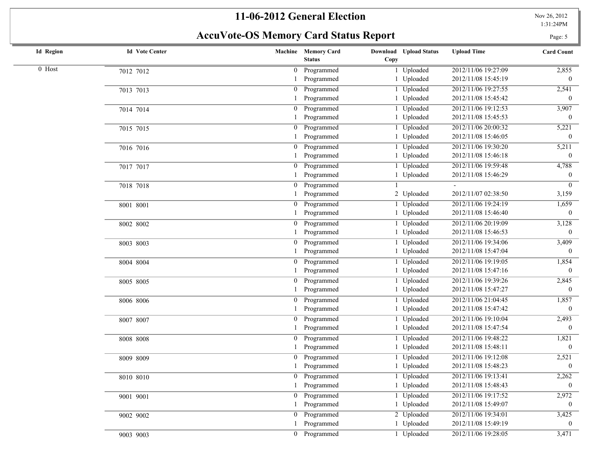# **AccuVote-OS Memory Card Status Report** Page: 5 Page: 5

| <b>Id Region</b> | <b>Id Vote Center</b> |                  | Machine Memory Card<br><b>Status</b> | Download Upload Status<br>Copy | <b>Upload Time</b>  | <b>Card Count</b> |
|------------------|-----------------------|------------------|--------------------------------------|--------------------------------|---------------------|-------------------|
| 0 Host           | 7012 7012             | $\boldsymbol{0}$ | Programmed                           | Uploaded                       | 2012/11/06 19:27:09 | 2,855             |
|                  |                       |                  | Programmed                           | Uploaded                       | 2012/11/08 15:45:19 | $\mathbf{0}$      |
|                  | 7013 7013             | $\boldsymbol{0}$ | Programmed                           | Uploaded                       | 2012/11/06 19:27:55 | 2,541             |
|                  |                       |                  | Programmed                           | 1 Uploaded                     | 2012/11/08 15:45:42 | $\mathbf{0}$      |
|                  | 7014 7014             | $\overline{0}$   | Programmed                           | Uploaded                       | 2012/11/06 19:12:53 | 3,907             |
|                  |                       |                  | Programmed                           | 1 Uploaded                     | 2012/11/08 15:45:53 | $\mathbf{0}$      |
|                  | 7015 7015             | $\overline{0}$   | Programmed                           | Uploaded                       | 2012/11/06 20:00:32 | 5,221             |
|                  |                       |                  | Programmed                           | Uploaded                       | 2012/11/08 15:46:05 | $\theta$          |
|                  | 7016 7016             | $\overline{0}$   | Programmed                           | Uploaded                       | 2012/11/06 19:30:20 | 5,211             |
|                  |                       |                  | Programmed                           | 1 Uploaded                     | 2012/11/08 15:46:18 | $\overline{0}$    |
|                  | 7017 7017             | $\boldsymbol{0}$ | Programmed                           | Uploaded                       | 2012/11/06 19:59:48 | 4,788             |
|                  |                       |                  | Programmed                           | 1 Uploaded                     | 2012/11/08 15:46:29 | $\bf{0}$          |
|                  | 7018 7018             | $\Omega$         | Programmed                           |                                |                     | $\overline{0}$    |
|                  |                       |                  | Programmed                           | 2 Uploaded                     | 2012/11/07 02:38:50 | 3,159             |
|                  | 8001 8001             |                  | Programmed                           | 1 Uploaded                     | 2012/11/06 19:24:19 | 1,659             |
|                  |                       |                  | Programmed                           | 1 Uploaded                     | 2012/11/08 15:46:40 | $\mathbf{0}$      |
|                  | 8002 8002             |                  | Programmed                           | <b>Uploaded</b>                | 2012/11/06 20:19:09 | 3,128             |
|                  |                       |                  | Programmed                           | 1 Uploaded                     | 2012/11/08 15:46:53 | $\boldsymbol{0}$  |
|                  | 8003 8003             | $\mathbf{0}$     | Programmed                           | Uploaded                       | 2012/11/06 19:34:06 | 3,409             |
|                  |                       |                  | Programmed                           | 1 Uploaded                     | 2012/11/08 15:47:04 | $\mathbf{0}$      |
|                  | 8004 8004             | $\mathbf{0}$     | Programmed                           | Uploaded                       | 2012/11/06 19:19:05 | 1,854             |
|                  |                       |                  | Programmed                           | Uploaded                       | 2012/11/08 15:47:16 | $\theta$          |
|                  | 8005 8005             | $\boldsymbol{0}$ | Programmed                           | Uploaded                       | 2012/11/06 19:39:26 | 2,845             |
|                  |                       |                  | Programmed                           | 1 Uploaded                     | 2012/11/08 15:47:27 | $\overline{0}$    |
|                  | 8006 8006             | $\boldsymbol{0}$ | Programmed                           | Uploaded                       | 2012/11/06 21:04:45 | 1,857             |
|                  |                       |                  | Programmed                           | 1 Uploaded                     | 2012/11/08 15:47:42 | $\overline{0}$    |
|                  | 8007 8007             | $\boldsymbol{0}$ | Programmed                           | Uploaded                       | 2012/11/06 19:10:04 | 2,493             |
|                  |                       |                  | Programmed                           | 1 Uploaded                     | 2012/11/08 15:47:54 | $\mathbf{0}$      |
|                  | 8008 8008             | 0                | Programmed                           | Uploaded                       | 2012/11/06 19:48:22 | 1,821             |
|                  |                       |                  | Programmed                           | Uploaded                       | 2012/11/08 15:48:11 | $\mathbf{0}$      |
|                  | 8009 8009             |                  | Programmed                           | 1 Uploaded                     | 2012/11/06 19:12:08 | 2,521             |
|                  |                       |                  | Programmed                           | 1 Uploaded                     | 2012/11/08 15:48:23 | $\boldsymbol{0}$  |
|                  | 8010 8010             |                  | 0 Programmed                         | 1 Uploaded                     | 2012/11/06 19:13:41 | 2,262             |
|                  |                       |                  | 1 Programmed                         | 1 Uploaded                     | 2012/11/08 15:48:43 | $\mathbf{0}$      |
|                  | 9001 9001             |                  | 0 Programmed                         | 1 Uploaded                     | 2012/11/06 19:17:52 | 2,972             |
|                  |                       |                  | Programmed                           | 1 Uploaded                     | 2012/11/08 15:49:07 | $\bf{0}$          |
|                  | 9002 9002             |                  | 0 Programmed                         | 2 Uploaded                     | 2012/11/06 19:34:01 | 3,425             |
|                  |                       |                  | Programmed                           | 1 Uploaded                     | 2012/11/08 15:49:19 | $\bf{0}$          |
|                  | 9003 9003             |                  | 0 Programmed                         | 1 Uploaded                     | 2012/11/06 19:28:05 | 3,471             |
|                  |                       |                  |                                      |                                |                     |                   |